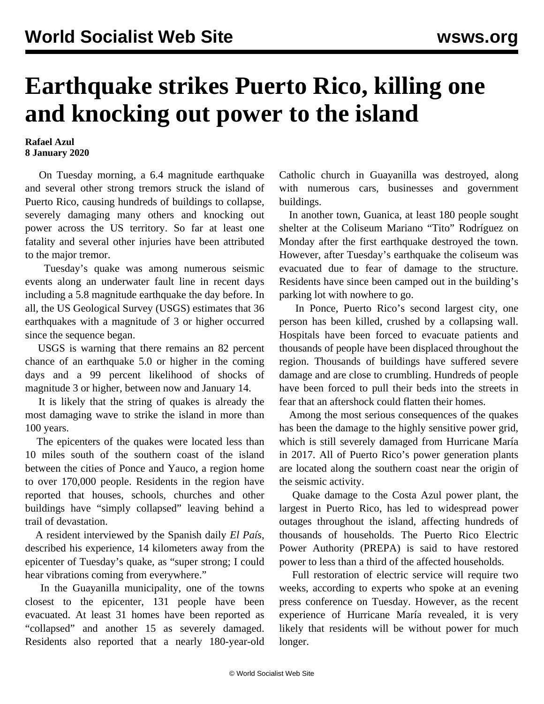## **Earthquake strikes Puerto Rico, killing one and knocking out power to the island**

## **Rafael Azul 8 January 2020**

 On Tuesday morning, a 6.4 magnitude earthquake and several other strong tremors struck the island of Puerto Rico, causing hundreds of buildings to collapse, severely damaging many others and knocking out power across the US territory. So far at least one fatality and several other injuries have been attributed to the major tremor.

 Tuesday's quake was among numerous seismic events along an underwater fault line in recent days including a 5.8 magnitude earthquake the day before. In all, the US Geological Survey (USGS) estimates that 36 earthquakes with a magnitude of 3 or higher occurred since the sequence began.

 USGS is warning that there remains an 82 percent chance of an earthquake 5.0 or higher in the coming days and a 99 percent likelihood of shocks of magnitude 3 or higher, between now and January 14.

 It is likely that the string of quakes is already the most damaging wave to strike the island in more than 100 years.

 The epicenters of the quakes were located less than 10 miles south of the southern coast of the island between the cities of Ponce and Yauco, a region home to over 170,000 people. Residents in the region have reported that houses, schools, churches and other buildings have "simply collapsed" leaving behind a trail of devastation.

 A resident interviewed by the Spanish daily *El País*, described his experience, 14 kilometers away from the epicenter of Tuesday's quake, as "super strong; I could hear vibrations coming from everywhere."

 In the Guayanilla municipality, one of the towns closest to the epicenter, 131 people have been evacuated. At least 31 homes have been reported as "collapsed" and another 15 as severely damaged. Residents also reported that a nearly 180-year-old Catholic church in Guayanilla was destroyed, along with numerous cars, businesses and government buildings.

 In another town, Guanica, at least 180 people sought shelter at the Coliseum Mariano "Tito" Rodríguez on Monday after the first earthquake destroyed the town. However, after Tuesday's earthquake the coliseum was evacuated due to fear of damage to the structure. Residents have since been camped out in the building's parking lot with nowhere to go.

 In Ponce, Puerto Rico's second largest city, one person has been killed, crushed by a collapsing wall. Hospitals have been forced to evacuate patients and thousands of people have been displaced throughout the region. Thousands of buildings have suffered severe damage and are close to crumbling. Hundreds of people have been forced to pull their beds into the streets in fear that an aftershock could flatten their homes.

 Among the most serious consequences of the quakes has been the damage to the highly sensitive power grid, which is still severely damaged from Hurricane María in 2017. All of Puerto Rico's power generation plants are located along the southern coast near the origin of the seismic activity.

 Quake damage to the Costa Azul power plant, the largest in Puerto Rico, has led to widespread power outages throughout the island, affecting hundreds of thousands of households. The Puerto Rico Electric Power Authority (PREPA) is said to have restored power to less than a third of the affected households.

 Full restoration of electric service will require two weeks, according to experts who spoke at an evening press conference on Tuesday. However, as the recent experience of Hurricane María revealed, it is very likely that residents will be without power for much longer.